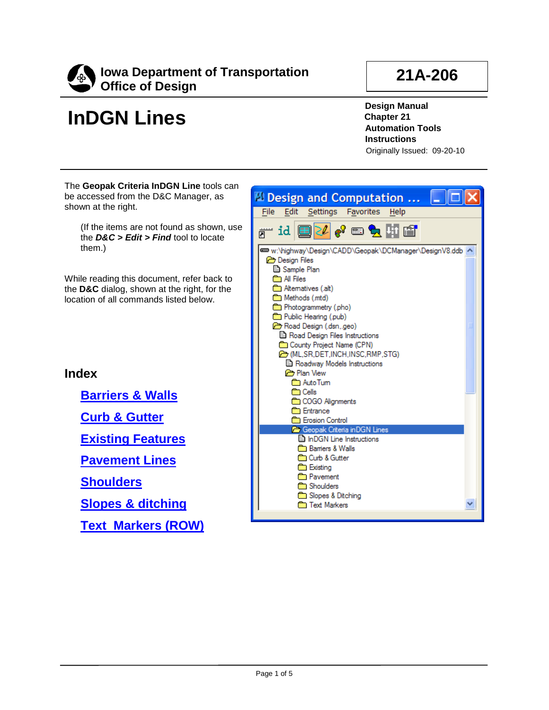<span id="page-0-0"></span>

# **InDGN Lines**

**21A-206**

**Design Manual Chapter 21 Automation Tools Instructions** Originally Issued: 09-20-10

The **Geopak Criteria InDGN Line** tools can be accessed from the D&C Manager, as shown at the right.

(If the items are not found as shown, use the *D&C > Edit > Find* tool to locate them.)

While reading this document, refer back to the **D&C** dialog, shown at the right, for the location of all commands listed below.

**Index**

**[Barriers & Walls](#page-1-0)**

**[Curb & Gutter](#page-2-0)**

**[Existing Features](#page-2-1)**

**[Pavement Lines](#page-2-2)**

**[Shoulders](#page-3-0)**

**[Slopes & ditching](#page-3-1)**

**[Text Markers \(ROW\)](#page-4-0)**

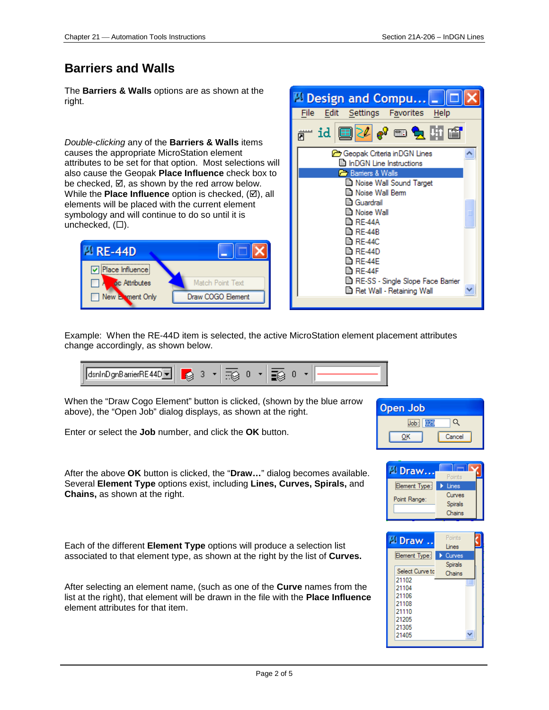#### <span id="page-1-0"></span>**Barriers and Walls**

The **Barriers & Walls** options are as shown at the right.

*Double-clicking* any of the **Barriers & Walls** items causes the appropriate MicroStation element attributes to be set for that option. Most selections will also cause the Geopak **Place Influence** check box to be checked,  $\boxtimes$ , as shown by the red arrow below. While the **Place Influence** option is checked, ( $\boxtimes$ ), all elements will be placed with the current element symbology and will continue to do so until it is unchecked,  $(\Box)$ .





Example: When the RE-44D item is selected, the active MicroStation element placement attributes change accordingly, as shown below.



When the "Draw Cogo Element" button is clicked, (shown by the blue arrow above), the "Open Job" dialog displays, as shown at the right.

Enter or select the **Job** number, and click the **OK** button.



After the above **OK** button is clicked, the "**Draw…**" dialog becomes available. Several **Element Type** options exist, including **Lines, Curves, Spirals,** and **Chains,** as shown at the right.

Each of the different **Element Type** options will produce a selection list associated to that element type, as shown at the right by the list of **Curves.**

After selecting an element name, (such as one of the **Curve** names from the list at the right), that element will be drawn in the file with the **Place Influence** element attributes for that item.



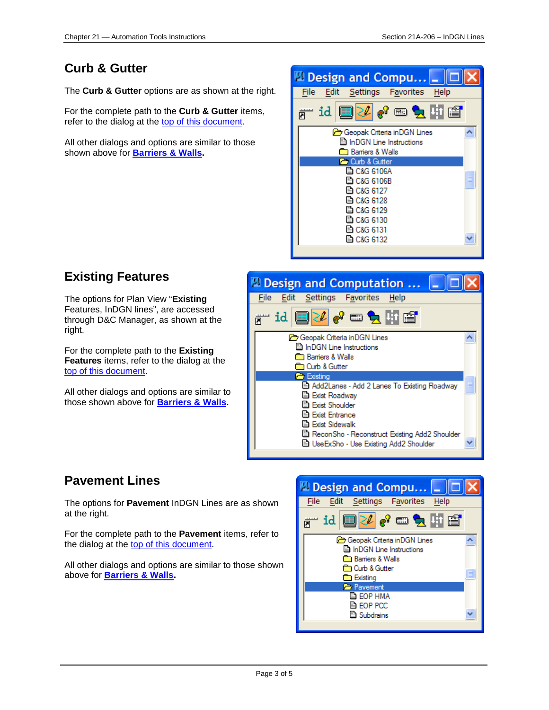#### <span id="page-2-0"></span>**Curb & Gutter**

The **Curb & Gutter** options are as shown at the right.

For the complete path to the **Curb & Gutter** items, refer to the dialog at the [top of this document.](#page-0-0)

All other dialogs and options are similar to those shown above for **[Barriers & Walls.](#page-1-0)**



## <span id="page-2-1"></span>**Existing Features**

The options for Plan View "**Existing** Features, InDGN lines", are accessed through D&C Manager, as shown at the right.

For the complete path to the **Existing Features** items, refer to the dialog at the [top of this document.](#page-0-0)

All other dialogs and options are similar to those shown above for **[Barriers & Walls.](#page-1-0)**



## <span id="page-2-2"></span>**Pavement Lines**

The options for **Pavement** InDGN Lines are as shown at the right.

For the complete path to the **Pavement** items, refer to the dialog at the [top of this document.](#page-0-0)

All other dialogs and options are similar to those shown above for **[Barriers & Walls.](#page-1-0)**

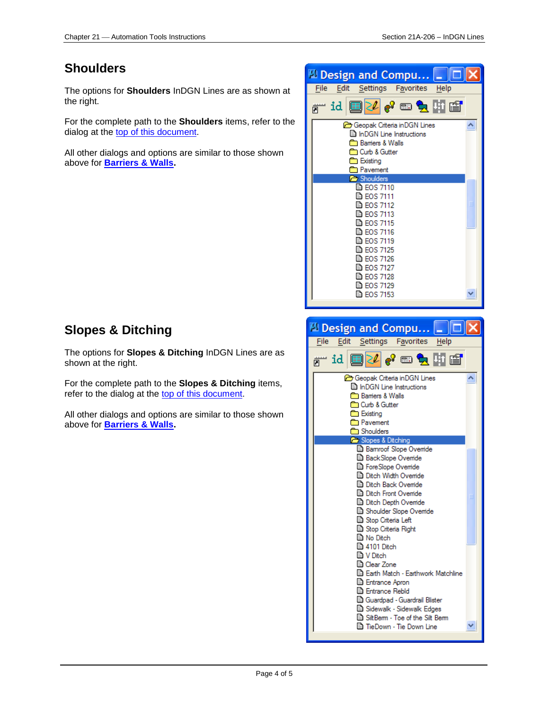#### <span id="page-3-0"></span>**Shoulders**

The options for **Shoulders** InDGN Lines are as shown at the right.

For the complete path to the **Shoulders** items, refer to the dialog at the [top of this document.](#page-0-0)

All other dialogs and options are similar to those shown above for **[Barriers & Walls.](#page-1-0)**



## <span id="page-3-1"></span>**Slopes & Ditching**

The options for **Slopes & Ditching** InDGN Lines are as shown at the right.

For the complete path to the **Slopes & Ditching** items, refer to the dialog at the [top of this document.](#page-0-0)

All other dialogs and options are similar to those shown above for **[Barriers & Walls.](#page-1-0)**